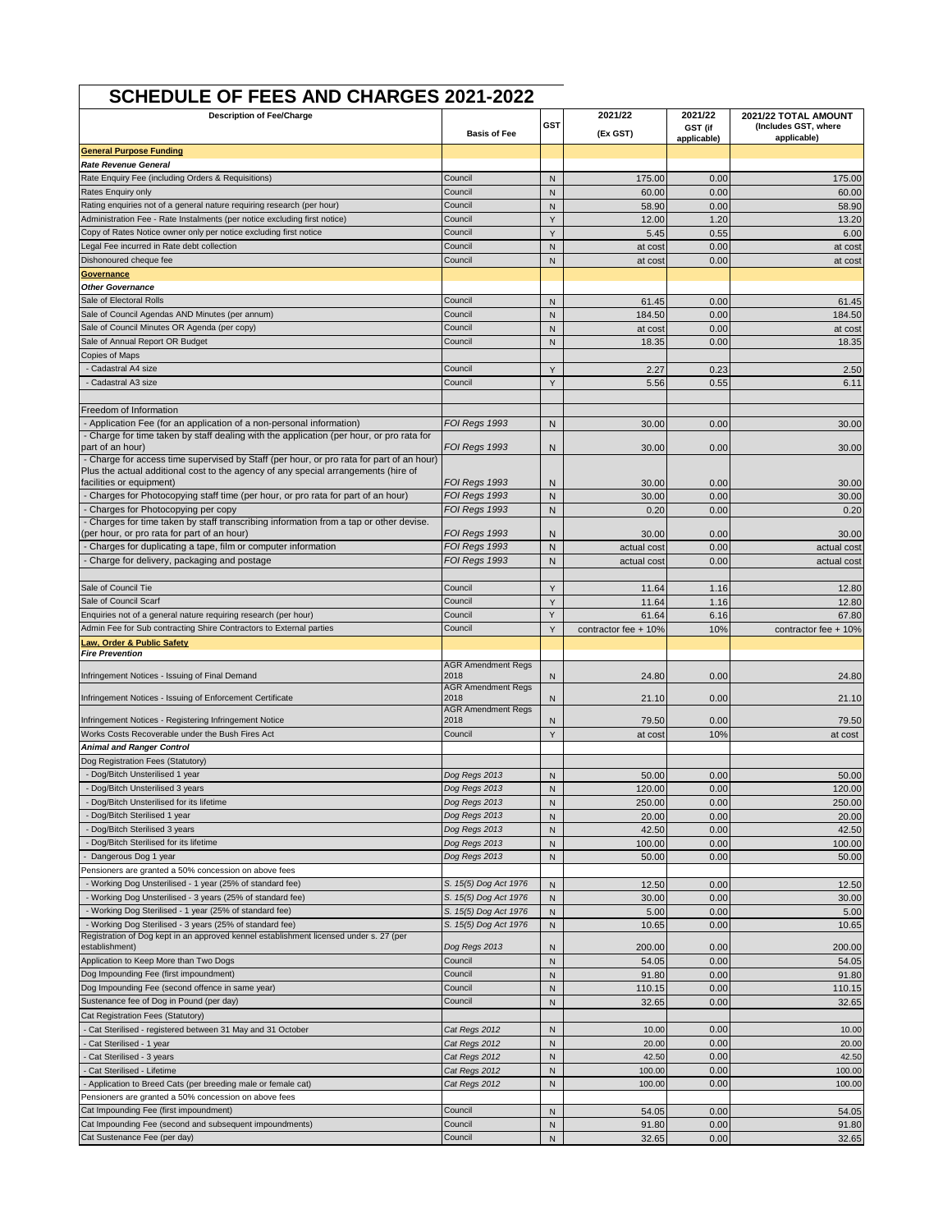| <b>SCHEDULE OF FEES AND CHARGES 2021-2022</b>                                                                                                                                  |                                                |                   |                            |                    |                                                             |
|--------------------------------------------------------------------------------------------------------------------------------------------------------------------------------|------------------------------------------------|-------------------|----------------------------|--------------------|-------------------------------------------------------------|
| <b>Description of Fee/Charge</b>                                                                                                                                               | <b>Basis of Fee</b>                            | GST               | 2021/22<br>(Ex GST)        | 2021/22<br>GST (if | 2021/22 TOTAL AMOUNT<br>(Includes GST, where<br>applicable) |
| <b>General Purpose Funding</b>                                                                                                                                                 |                                                |                   |                            | applicable)        |                                                             |
| Rate Revenue General                                                                                                                                                           |                                                |                   |                            |                    |                                                             |
| Rate Enquiry Fee (including Orders & Requisitions)                                                                                                                             | Council                                        | N                 | 175.00                     | 0.00               | 175.00                                                      |
| Rates Enquiry only                                                                                                                                                             | Council                                        | N                 | 60.00                      | 0.00               | 60.00                                                       |
| Rating enquiries not of a general nature requiring research (per hour)                                                                                                         | Council                                        | N                 | 58.90                      | 0.00               | 58.90                                                       |
| Administration Fee - Rate Instalments (per notice excluding first notice)                                                                                                      | Council                                        | Y                 | 12.00                      | 1.20               | 13.20                                                       |
| Copy of Rates Notice owner only per notice excluding first notice                                                                                                              | Council<br>Council                             | Y                 | 5.45                       | 0.55               | 6.00                                                        |
| egal Fee incurred in Rate debt collection<br>Dishonoured cheque fee                                                                                                            | Council                                        | N<br>$\mathsf{N}$ | at cost                    | 0.00<br>0.00       | at cost                                                     |
| Governance                                                                                                                                                                     |                                                |                   | at cost                    |                    | at cost                                                     |
| <b>Other Governance</b>                                                                                                                                                        |                                                |                   |                            |                    |                                                             |
| Sale of Electoral Rolls                                                                                                                                                        | Council                                        | N                 | 61.45                      | 0.00               | 61.45                                                       |
| Sale of Council Agendas AND Minutes (per annum)                                                                                                                                | Council                                        | N                 | 184.50                     | 0.00               | 184.50                                                      |
| Sale of Council Minutes OR Agenda (per copy)                                                                                                                                   | Council                                        | N                 | at cost                    | 0.00               | at cost                                                     |
| Sale of Annual Report OR Budget                                                                                                                                                | Council                                        | N                 | 18.35                      | 0.00               | 18.35                                                       |
| Copies of Maps                                                                                                                                                                 |                                                |                   |                            |                    |                                                             |
| - Cadastral A4 size<br>Cadastral A3 size                                                                                                                                       | Council<br>Council                             | Y                 | 2.27                       | 0.23               | 2.50                                                        |
|                                                                                                                                                                                |                                                | Y                 | 5.56                       | 0.55               | 6.11                                                        |
| Freedom of Information                                                                                                                                                         |                                                |                   |                            |                    |                                                             |
| - Application Fee (for an application of a non-personal information)                                                                                                           | FOI Regs 1993                                  | N                 | 30.00                      | 0.00               | 30.00                                                       |
| - Charge for time taken by staff dealing with the application (per hour, or pro rata for                                                                                       |                                                |                   |                            |                    |                                                             |
| part of an hour)                                                                                                                                                               | FOI Regs 1993                                  | N                 | 30.00                      | 0.00               | 30.00                                                       |
| - Charge for access time supervised by Staff (per hour, or pro rata for part of an hour)<br>Plus the actual additional cost to the agency of any special arrangements (hire of |                                                |                   |                            |                    |                                                             |
| facilities or equipment)                                                                                                                                                       | FOI Regs 1993                                  | N                 | 30.00                      | 0.00               | 30.00                                                       |
| Charges for Photocopying staff time (per hour, or pro rata for part of an hour)                                                                                                | FOI Regs 1993                                  | $\mathsf{N}$      | 30.00                      | 0.00               | 30.00                                                       |
| - Charges for Photocopying per copy                                                                                                                                            | FOI Regs 1993                                  | N                 | 0.20                       | 0.00               | 0.20                                                        |
| - Charges for time taken by staff transcribing information from a tap or other devise.                                                                                         |                                                |                   |                            |                    |                                                             |
| (per hour, or pro rata for part of an hour)                                                                                                                                    | FOI Regs 1993<br>FOI Regs 1993                 | N<br>N            | 30.00                      | 0.00<br>0.00       | 30.00                                                       |
| Charges for duplicating a tape, film or computer information<br>Charge for delivery, packaging and postage                                                                     | FOI Regs 1993                                  | N                 | actual cost<br>actual cost | 0.00               | actual cost<br>actual cost                                  |
|                                                                                                                                                                                |                                                |                   |                            |                    |                                                             |
| Sale of Council Tie                                                                                                                                                            | Council                                        | Y                 | 11.64                      | 1.16               | 12.80                                                       |
| Sale of Council Scarf                                                                                                                                                          | Council                                        | Y                 | 11.64                      | 1.16               | 12.80                                                       |
| Enquiries not of a general nature requiring research (per hour)                                                                                                                | Council                                        | Y                 | 61.64                      | 6.16               | 67.80                                                       |
| Admin Fee for Sub contracting Shire Contractors to External parties                                                                                                            | Council                                        | Y                 | contractor fee + 10%       | 10%                | contractor fee + 10%                                        |
| Law, Order & Public Safety                                                                                                                                                     |                                                |                   |                            |                    |                                                             |
| <b>Fire Prevention</b>                                                                                                                                                         | <b>AGR Amendment Regs</b>                      |                   |                            |                    |                                                             |
| Infringement Notices - Issuing of Final Demand                                                                                                                                 | 2018                                           | $\mathsf{N}$      | 24.80                      | 0.00               | 24.80                                                       |
| Infringement Notices - Issuing of Enforcement Certificate                                                                                                                      | <b>AGR Amendment Regs</b><br>2018              | N                 | 21.10                      | 0.00               | 21.10                                                       |
|                                                                                                                                                                                | <b>AGR Amendment Regs</b>                      |                   |                            |                    |                                                             |
| Infringement Notices - Registering Infringement Notice                                                                                                                         | 2018                                           | N                 | 79.50                      | 0.00               | 79.50                                                       |
| Works Costs Recoverable under the Bush Fires Act                                                                                                                               | Council                                        | Y                 | at cost                    | 10%                | at cost                                                     |
| <b>Animal and Ranger Control</b><br>Dog Registration Fees (Statutory)                                                                                                          |                                                |                   |                            |                    |                                                             |
| - Dog/Bitch Unsterilised 1 year                                                                                                                                                | Dog Regs 2013                                  | N                 | 50.00                      | 0.00               | 50.00                                                       |
| - Dog/Bitch Unsterilised 3 years                                                                                                                                               | Dog Regs 2013                                  | ${\sf N}$         | 120.00                     | 0.00               | 120.00                                                      |
| Dog/Bitch Unsterilised for its lifetime                                                                                                                                        | Dog Regs 2013                                  | $\mathsf{N}$      | 250.00                     | 0.00               | 250.00                                                      |
| - Dog/Bitch Sterilised 1 year                                                                                                                                                  | Dog Regs 2013                                  | ${\sf N}$         | 20.00                      | 0.00               | 20.00                                                       |
| - Dog/Bitch Sterilised 3 years                                                                                                                                                 | Dog Regs 2013                                  | ${\sf N}$         | 42.50                      | 0.00               | 42.50                                                       |
| Dog/Bitch Sterilised for its lifetime                                                                                                                                          | Dog Regs 2013                                  | ${\sf N}$         | 100.00                     | 0.00               | 100.00                                                      |
| Dangerous Dog 1 year                                                                                                                                                           | Dog Regs 2013                                  | ${\sf N}$         | 50.00                      | 0.00               | 50.00                                                       |
| Pensioners are granted a 50% concession on above fees                                                                                                                          |                                                |                   |                            |                    |                                                             |
| - Working Dog Unsterilised - 1 year (25% of standard fee)                                                                                                                      | S. 15(5) Dog Act 1976                          | ${\sf N}$         | 12.50                      | 0.00               | 12.50                                                       |
| - Working Dog Unsterilised - 3 years (25% of standard fee)<br>- Working Dog Sterilised - 1 year (25% of standard fee)                                                          | S. 15(5) Dog Act 1976<br>S. 15(5) Dog Act 1976 | ${\sf N}$<br>N    | 30.00<br>5.00              | 0.00<br>0.00       | 30.00<br>5.00                                               |
| - Working Dog Sterilised - 3 years (25% of standard fee)                                                                                                                       | S. 15(5) Dog Act 1976                          | ${\sf N}$         | 10.65                      | 0.00               | 10.65                                                       |
| Registration of Dog kept in an approved kennel establishment licensed under s. 27 (per                                                                                         |                                                |                   |                            |                    |                                                             |
| establishment)                                                                                                                                                                 | Dog Regs 2013                                  | N                 | 200.00                     | 0.00               | 200.00                                                      |
| Application to Keep More than Two Dogs                                                                                                                                         | Council                                        | $\mathsf{N}$      | 54.05                      | 0.00               | 54.05                                                       |
| Dog Impounding Fee (first impoundment)                                                                                                                                         | Council                                        | ${\sf N}$         | 91.80                      | 0.00               | 91.80                                                       |
| Dog Impounding Fee (second offence in same year)                                                                                                                               | Council                                        | ${\sf N}$         | 110.15                     | 0.00               | 110.15                                                      |
| Sustenance fee of Dog in Pound (per day)                                                                                                                                       | Council                                        | ${\sf N}$         | 32.65                      | 0.00               | 32.65                                                       |
| Cat Registration Fees (Statutory)<br>Cat Sterilised - registered between 31 May and 31 October                                                                                 | Cat Regs 2012                                  | ${\sf N}$         | 10.00                      | 0.00               | 10.00                                                       |
| Cat Sterilised - 1 year                                                                                                                                                        | Cat Regs 2012                                  | $\mathsf{N}$      | 20.00                      | 0.00               | 20.00                                                       |
| Cat Sterilised - 3 years                                                                                                                                                       | Cat Regs 2012                                  | ${\sf N}$         | 42.50                      | 0.00               | 42.50                                                       |
| Cat Sterilised - Lifetime                                                                                                                                                      | Cat Regs 2012                                  | $\mathsf{N}$      | 100.00                     | 0.00               | 100.00                                                      |
| - Application to Breed Cats (per breeding male or female cat)                                                                                                                  | Cat Regs 2012                                  | ${\sf N}$         | 100.00                     | 0.00               | 100.00                                                      |
| Pensioners are granted a 50% concession on above fees                                                                                                                          |                                                |                   |                            |                    |                                                             |
| Cat Impounding Fee (first impoundment)                                                                                                                                         | Council                                        | ${\sf N}$         | 54.05                      | 0.00               | 54.05                                                       |
| Cat Impounding Fee (second and subsequent impoundments)                                                                                                                        | Council                                        | $\mathsf{N}$      | 91.80                      | 0.00               | 91.80                                                       |
| Cat Sustenance Fee (per day)                                                                                                                                                   | Council                                        | ${\sf N}$         | 32.65                      | 0.00               | 32.65                                                       |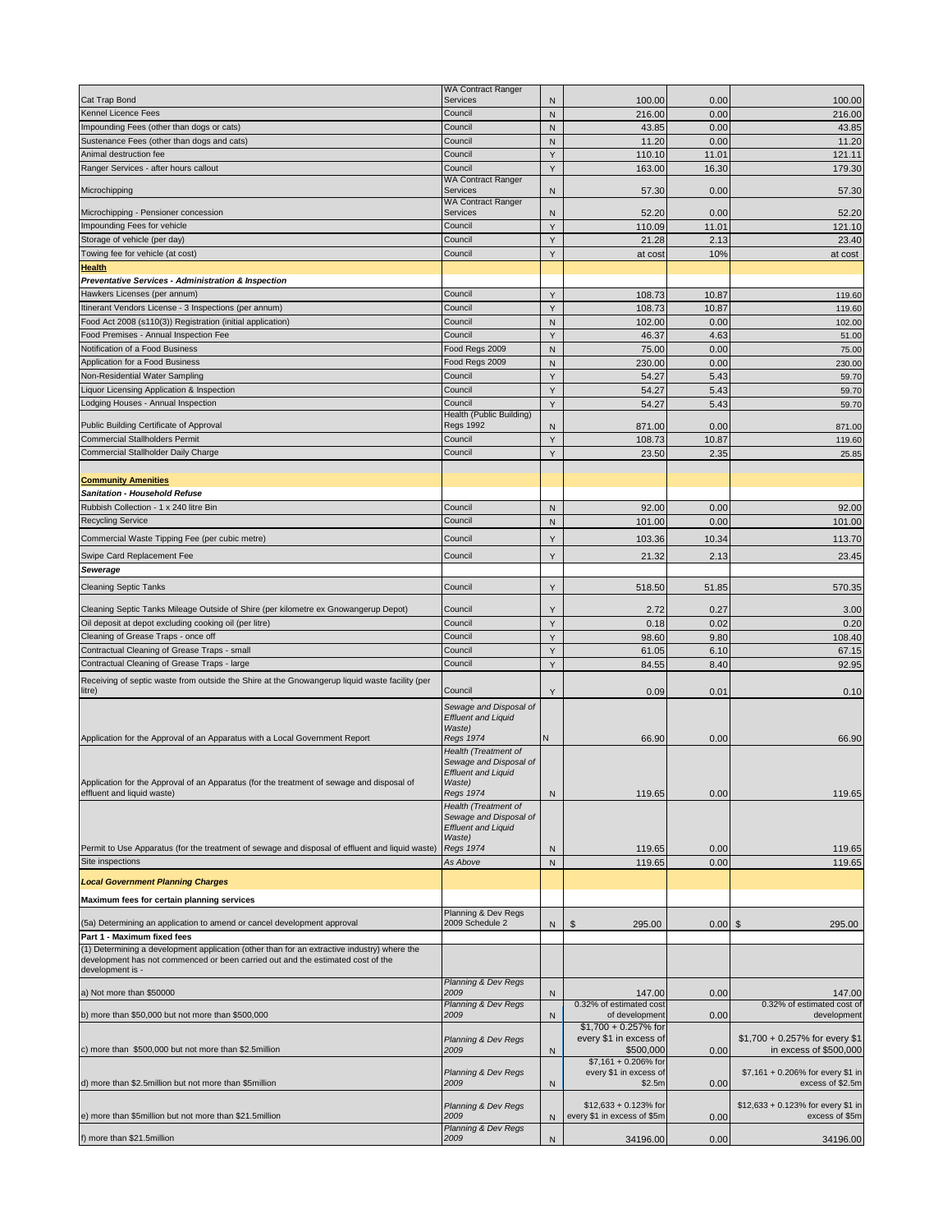|                                                                                                                                                                                | WA Contract Ranger                                   |              |                                     |           |                                                             |
|--------------------------------------------------------------------------------------------------------------------------------------------------------------------------------|------------------------------------------------------|--------------|-------------------------------------|-----------|-------------------------------------------------------------|
| Cat Trap Bond                                                                                                                                                                  | Services                                             | N            | 100.00                              | 0.00      | 100.00                                                      |
| Kennel Licence Fees                                                                                                                                                            | Council                                              | N            | 216.00                              | 0.00      | 216.00                                                      |
| Impounding Fees (other than dogs or cats)                                                                                                                                      | Council                                              | $\mathsf{N}$ | 43.85                               | 0.00      | 43.85                                                       |
| Sustenance Fees (other than dogs and cats)                                                                                                                                     | Council                                              | N            | 11.20                               | 0.00      | 11.20                                                       |
| Animal destruction fee                                                                                                                                                         | Council                                              | Y            | 110.10                              | 11.01     | 121.11                                                      |
| Ranger Services - after hours callout                                                                                                                                          | Council<br><b>WA Contract Ranger</b>                 | Y            | 163.00                              | 16.30     | 179.30                                                      |
| Microchipping                                                                                                                                                                  | <b>Services</b><br><b>WA Contract Ranger</b>         | N            | 57.30                               | 0.00      | 57.30                                                       |
| Microchipping - Pensioner concession                                                                                                                                           | Services                                             | N            | 52.20                               | 0.00      | 52.20                                                       |
| Impounding Fees for vehicle                                                                                                                                                    | Council                                              | Y            | 110.09                              | 11.01     | 121.10                                                      |
| Storage of vehicle (per day)                                                                                                                                                   | Council                                              | Y            | 21.28                               | 2.13      | 23.40                                                       |
| Towing fee for vehicle (at cost)                                                                                                                                               | Council                                              | Y            | at cost                             | 10%       | at cost                                                     |
| <b>Health</b>                                                                                                                                                                  |                                                      |              |                                     |           |                                                             |
| Preventative Services - Administration & Inspection                                                                                                                            |                                                      |              |                                     |           |                                                             |
| Hawkers Licenses (per annum)                                                                                                                                                   | Council                                              | Υ            | 108.73                              | 10.87     | 119.60                                                      |
| Itinerant Vendors License - 3 Inspections (per annum)                                                                                                                          | Council                                              | Y            |                                     |           |                                                             |
| Food Act 2008 (s110(3)) Registration (initial application)                                                                                                                     | Council                                              |              | 108.73                              | 10.87     | 119.60                                                      |
|                                                                                                                                                                                |                                                      | $\mathsf{N}$ | 102.00                              | 0.00      | 102.00                                                      |
| Food Premises - Annual Inspection Fee                                                                                                                                          | Council                                              | Y            | 46.37                               | 4.63      | 51.00                                                       |
| Notification of a Food Business                                                                                                                                                | Food Regs 2009                                       | $\mathsf{N}$ | 75.00                               | 0.00      | 75.00                                                       |
| Application for a Food Business                                                                                                                                                | Food Regs 2009                                       | ${\sf N}$    | 230.00                              | 0.00      | 230.00                                                      |
| Non-Residential Water Sampling                                                                                                                                                 | Council                                              | Y            | 54.27                               | 5.43      | 59.70                                                       |
| Liquor Licensing Application & Inspection                                                                                                                                      | Council                                              | Y            | 54.27                               | 5.43      | 59.70                                                       |
| Lodging Houses - Annual Inspection                                                                                                                                             | Council                                              | Y            | 54.27                               | 5.43      | 59.70                                                       |
| Public Building Certificate of Approval                                                                                                                                        | Health (Public Building)<br><b>Regs 1992</b>         |              | 871.00                              | 0.00      | 871.00                                                      |
| <b>Commercial Stallholders Permit</b>                                                                                                                                          | Council                                              | N            |                                     |           |                                                             |
| Commercial Stallholder Daily Charge                                                                                                                                            |                                                      | Y            | 108.73                              | 10.87     | 119.60                                                      |
|                                                                                                                                                                                | Council                                              | Υ            | 23.50                               | 2.35      | 25.85                                                       |
|                                                                                                                                                                                |                                                      |              |                                     |           |                                                             |
| <b>Community Amenities</b><br>Sanitation - Household Refuse                                                                                                                    |                                                      |              |                                     |           |                                                             |
|                                                                                                                                                                                |                                                      |              |                                     |           |                                                             |
| Rubbish Collection - 1 x 240 litre Bin                                                                                                                                         | Council                                              | N            | 92.00                               | 0.00      | 92.00                                                       |
| <b>Recycling Service</b>                                                                                                                                                       | Council                                              | ${\sf N}$    | 101.00                              | 0.00      | 101.00                                                      |
| Commercial Waste Tipping Fee (per cubic metre)                                                                                                                                 | Council                                              | Y            | 103.36                              | 10.34     | 113.70                                                      |
| Swipe Card Replacement Fee                                                                                                                                                     | Council                                              | Y            | 21.32                               | 2.13      | 23.45                                                       |
| Sewerage                                                                                                                                                                       |                                                      |              |                                     |           |                                                             |
| <b>Cleaning Septic Tanks</b>                                                                                                                                                   | Council                                              | Υ            | 518.50                              | 51.85     | 570.35                                                      |
|                                                                                                                                                                                |                                                      |              |                                     |           |                                                             |
| Cleaning Septic Tanks Mileage Outside of Shire (per kilometre ex Gnowangerup Depot)                                                                                            | Council                                              | Y            | 2.72                                | 0.27      | 3.00                                                        |
| Oil deposit at depot excluding cooking oil (per litre)                                                                                                                         | Council                                              | Y            | 0.18                                | 0.02      | 0.20                                                        |
| Cleaning of Grease Traps - once off                                                                                                                                            |                                                      |              |                                     |           |                                                             |
|                                                                                                                                                                                | Council                                              | Y            | 98.60                               | 9.80      | 108.40                                                      |
| Contractual Cleaning of Grease Traps - small                                                                                                                                   | Council                                              | Y            | 61.05                               | 6.10      | 67.15                                                       |
| Contractual Cleaning of Grease Traps - large                                                                                                                                   | Council                                              | Y            | 84.55                               | 8.40      | 92.95                                                       |
| Receiving of septic waste from outside the Shire at the Gnowangerup liquid waste facility (per                                                                                 |                                                      |              |                                     |           |                                                             |
| litre)                                                                                                                                                                         | Council                                              | Y            | 0.09                                | 0.01      | 0.10                                                        |
|                                                                                                                                                                                | Sewage and Disposal of                               |              |                                     |           |                                                             |
|                                                                                                                                                                                | <b>Effluent and Liquid</b>                           |              |                                     |           |                                                             |
|                                                                                                                                                                                | Waste)                                               |              |                                     |           |                                                             |
| Application for the Approval of an Apparatus with a Local Government Report                                                                                                    | Regs 1974                                            | Ν            | 66.90                               | 0.00      | 66.90                                                       |
|                                                                                                                                                                                | Health (Treatment of                                 |              |                                     |           |                                                             |
|                                                                                                                                                                                | Sewage and Disposal of<br><b>Effluent and Liquid</b> |              |                                     |           |                                                             |
| oplication for the Approval of an Apparatus (for the treatment of sewage and disposal of                                                                                       | Waste)                                               |              |                                     |           |                                                             |
| effluent and liquid waste)                                                                                                                                                     | <b>Regs 1974</b>                                     | N            | 119.65                              | 0.00      | 119.65                                                      |
|                                                                                                                                                                                | Health (Treatment of                                 |              |                                     |           |                                                             |
|                                                                                                                                                                                | Sewage and Disposal of<br><b>Effluent and Liquid</b> |              |                                     |           |                                                             |
|                                                                                                                                                                                | Waste)                                               |              |                                     |           |                                                             |
| Permit to Use Apparatus (for the treatment of sewage and disposal of effluent and liquid waste)                                                                                | <b>Regs 1974</b>                                     | N            | 119.65                              | 0.00      | 119.65                                                      |
| Site inspections                                                                                                                                                               | As Above                                             | ${\sf N}$    | 119.65                              | 0.00      | 119.65                                                      |
|                                                                                                                                                                                |                                                      |              |                                     |           |                                                             |
| <b>Local Government Planning Charges</b>                                                                                                                                       |                                                      |              |                                     |           |                                                             |
| Maximum fees for certain planning services                                                                                                                                     |                                                      |              |                                     |           |                                                             |
| (5a) Determining an application to amend or cancel development approval                                                                                                        | Planning & Dev Regs<br>2009 Schedule 2               | N            | $\frac{1}{2}$<br>295.00             | $0.00$ \$ | 295.00                                                      |
| Part 1 - Maximum fixed fees                                                                                                                                                    |                                                      |              |                                     |           |                                                             |
| (1) Determining a development application (other than for an extractive industry) where the<br>development has not commenced or been carried out and the estimated cost of the |                                                      |              |                                     |           |                                                             |
| development is -                                                                                                                                                               | Planning & Dev Regs                                  |              |                                     |           |                                                             |
| a) Not more than \$50000                                                                                                                                                       | 2009                                                 | N            | 147.00                              | 0.00      | 147.00                                                      |
|                                                                                                                                                                                | <b>Planning &amp; Dev Regs</b>                       |              | 0.32% of estimated cost             |           | 0.32% of estimated cost of                                  |
| b) more than \$50,000 but not more than \$500,000                                                                                                                              | 2009                                                 | N            | of development                      | 0.00      | development                                                 |
|                                                                                                                                                                                |                                                      |              | $$1,700 + 0.257\%$ for              |           |                                                             |
| c) more than \$500,000 but not more than \$2.5million                                                                                                                          | Planning & Dev Regs<br>2009                          | N            | every \$1 in excess of<br>\$500,000 | 0.00      | \$1,700 + 0.257% for every \$1                              |
|                                                                                                                                                                                |                                                      |              | $$7,161 + 0.206\%$ for              |           |                                                             |
|                                                                                                                                                                                | Planning & Dev Regs                                  |              | every \$1 in excess of              |           | in excess of \$500,000<br>\$7,161 + 0.206% for every \$1 in |
| d) more than \$2.5million but not more than \$5million                                                                                                                         | 2009                                                 | N            | \$2.5m                              | 0.00      | excess of \$2.5m                                            |
|                                                                                                                                                                                | Planning & Dev Regs                                  |              | $$12,633 + 0.123\%$ for             |           | \$12,633 + 0.123% for every \$1 in                          |
| e) more than \$5million but not more than \$21.5million                                                                                                                        | 2009                                                 | N            | every \$1 in excess of \$5m         | 0.00      | excess of \$5m                                              |
| f) more than \$21.5million                                                                                                                                                     | Planning & Dev Regs<br>2009                          | N            | 34196.00                            | 0.00      | 34196.00                                                    |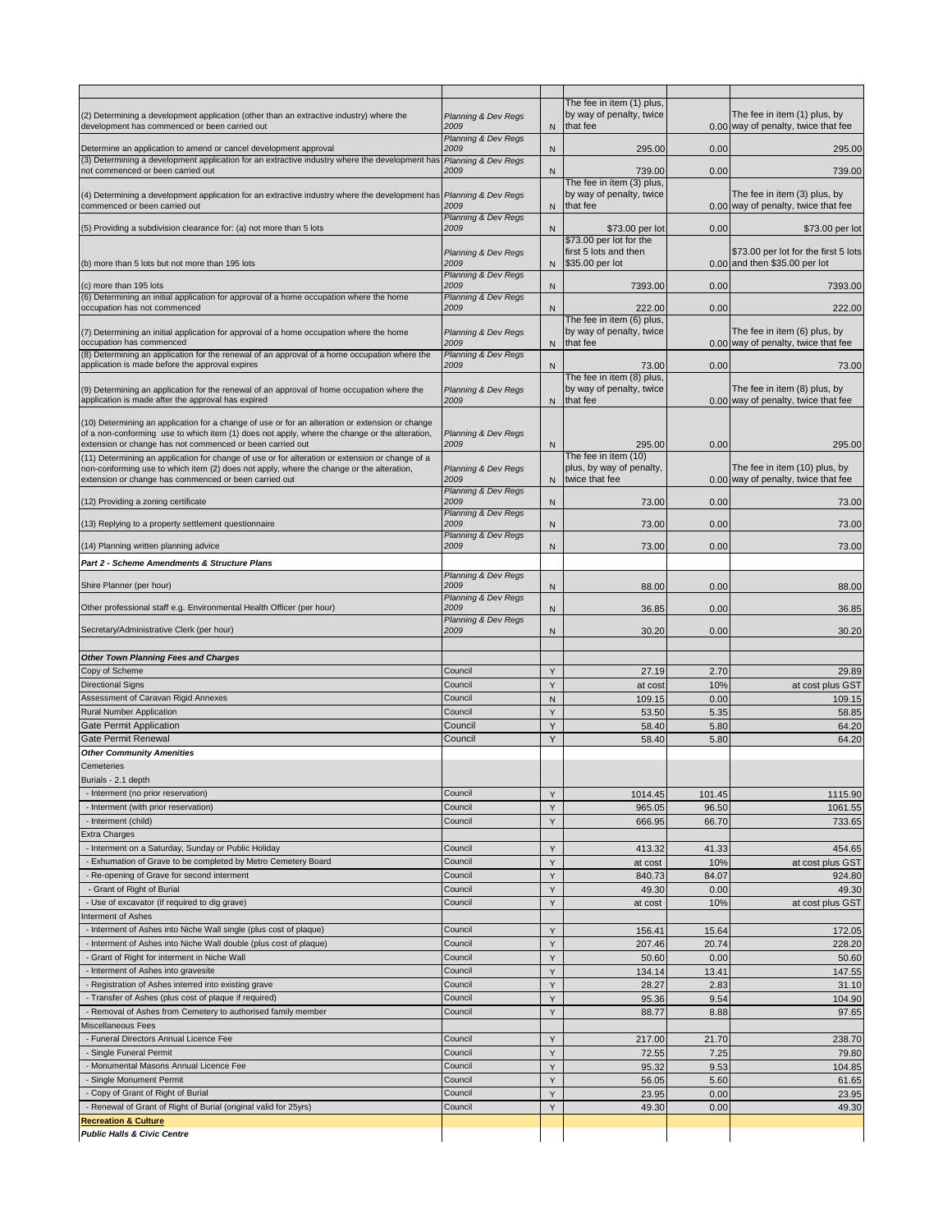|                                                                                                                                                                    |                                        |                | The fee in item (1) plus.<br>by way of penalty, twice |              | The fee in item (1) plus, by                                        |
|--------------------------------------------------------------------------------------------------------------------------------------------------------------------|----------------------------------------|----------------|-------------------------------------------------------|--------------|---------------------------------------------------------------------|
| (2) Determining a development application (other than an extractive industry) where the<br>development has commenced or been carried out                           | Planning & Dev Regs<br>2009            | N              | that fee                                              |              | 0.00 way of penalty, twice that fee                                 |
|                                                                                                                                                                    | <b>Planning &amp; Dev Regs</b>         |                |                                                       |              |                                                                     |
| Determine an application to amend or cancel development approval<br>(3) Determining a development application for an extractive industry where the development has | 2009<br>Planning & Dev Regs            | N              | 295.00                                                | 0.00         | 295.00                                                              |
| not commenced or been carried out                                                                                                                                  | 2009                                   | $\mathsf{N}$   | 739.00                                                | 0.00         | 739.00                                                              |
|                                                                                                                                                                    |                                        |                | The fee in item (3) plus,                             |              |                                                                     |
| (4) Determining a development application for an extractive industry where the development has Planning & Dev Regs<br>commenced or been carried out                | 2009                                   | N              | by way of penalty, twice<br>that fee                  |              | The fee in item (3) plus, by<br>0.00 way of penalty, twice that fee |
|                                                                                                                                                                    | Planning & Dev Regs                    |                |                                                       |              |                                                                     |
| (5) Providing a subdivision clearance for: (a) not more than 5 lots                                                                                                | 2009                                   | N              | \$73.00 per lot                                       | 0.00         | \$73.00 per lot                                                     |
|                                                                                                                                                                    |                                        |                | \$73.00 per lot for the<br>first 5 lots and then      |              | \$73.00 per lot for the first 5 lots                                |
| (b) more than 5 lots but not more than 195 lots                                                                                                                    | Planning & Dev Regs<br>2009            | N              | \$35.00 per lot                                       |              | 0.00 and then \$35.00 per lot                                       |
|                                                                                                                                                                    | Planning & Dev Regs                    |                |                                                       |              |                                                                     |
| (c) more than 195 lots<br>(6) Determining an initial application for approval of a home occupation where the home                                                  | 2009<br>Planning & Dev Regs            | N              | 7393.00                                               | 0.00         | 7393.00                                                             |
| occupation has not commenced                                                                                                                                       | 2009                                   | N              | 222.00                                                | 0.00         | 222.00                                                              |
|                                                                                                                                                                    |                                        |                | The fee in item (6) plus,                             |              |                                                                     |
| (7) Determining an initial application for approval of a home occupation where the home<br>occupation has commenced                                                | Planning & Dev Regs<br>2009            |                | by way of penalty, twice<br>that fee                  |              | The fee in item (6) plus, by<br>0.00 way of penalty, twice that fee |
| (8) Determining an application for the renewal of an approval of a home occupation where the                                                                       | Planning & Dev Regs                    | N              |                                                       |              |                                                                     |
| application is made before the approval expires                                                                                                                    | 2009                                   | $\mathsf{N}$   | 73.00                                                 | 0.00         | 73.00                                                               |
|                                                                                                                                                                    |                                        |                | The fee in item (8) plus,                             |              |                                                                     |
| (9) Determining an application for the renewal of an approval of home occupation where the<br>application is made after the approval has expired                   | Planning & Dev Regs<br>2009            |                | by way of penalty, twice<br>N that fee                |              | The fee in item (8) plus, by<br>0.00 way of penalty, twice that fee |
|                                                                                                                                                                    |                                        |                |                                                       |              |                                                                     |
| (10) Determining an application for a change of use or for an alteration or extension or change                                                                    |                                        |                |                                                       |              |                                                                     |
| of a non-conforming use to which item (1) does not apply, where the change or the alteration,<br>extension or change has not commenced or been carried out         | Planning & Dev Regs<br>2009            | N              | 295.00                                                | 0.00         | 295.00                                                              |
| (11) Determining an application for change of use or for alteration or extension or change of a                                                                    |                                        |                | The fee in item (10)                                  |              |                                                                     |
| non-conforming use to which item (2) does not apply, where the change or the alteration,                                                                           | Planning & Dev Regs                    |                | plus, by way of penalty,                              |              | The fee in item (10) plus, by                                       |
| extension or change has commenced or been carried out                                                                                                              | 2009                                   | N              | twice that fee                                        |              | 0.00 way of penalty, twice that fee                                 |
| (12) Providing a zoning certificate                                                                                                                                | <b>Planning &amp; Dev Regs</b><br>2009 | N              | 73.00                                                 | 0.00         | 73.00                                                               |
|                                                                                                                                                                    | Planning & Dev Regs                    |                |                                                       |              |                                                                     |
| (13) Replying to a property settlement questionnaire                                                                                                               | 2009                                   | N              | 73.00                                                 | 0.00         | 73.00                                                               |
| (14) Planning written planning advice                                                                                                                              | <b>Planning &amp; Dev Regs</b><br>2009 | N              | 73.00                                                 | 0.00         | 73.00                                                               |
| Part 2 - Scheme Amendments & Structure Plans                                                                                                                       |                                        |                |                                                       |              |                                                                     |
|                                                                                                                                                                    | Planning & Dev Regs                    |                |                                                       |              |                                                                     |
| Shire Planner (per hour)                                                                                                                                           | 2009                                   | N              | 88.00                                                 | 0.00         | 88.00                                                               |
| Other professional staff e.g. Environmental Health Officer (per hour)                                                                                              | Planning & Dev Regs<br>2009            | N              | 36.85                                                 | 0.00         | 36.85                                                               |
|                                                                                                                                                                    | Planning & Dev Regs                    |                |                                                       |              |                                                                     |
| Secretary/Administrative Clerk (per hour)                                                                                                                          | 2009                                   | N              | 30.20                                                 | 0.00         | 30.20                                                               |
|                                                                                                                                                                    |                                        |                |                                                       |              |                                                                     |
| <b>Other Town Planning Fees and Charges</b>                                                                                                                        |                                        |                |                                                       |              |                                                                     |
| Copy of Scheme                                                                                                                                                     | Council                                | Y              | 27.19                                                 | 2.70         | 29.89                                                               |
| <b>Directional Signs</b><br>Assessment of Caravan Rigid Annexes                                                                                                    | Council<br>Council                     | Y<br>${\sf N}$ | at cost<br>109.15                                     | 10%<br>0.00  | at cost plus GST<br>109.15                                          |
| <b>Rural Number Application</b>                                                                                                                                    | Council                                | Y              | 53.50                                                 | 5.35         | 58.85                                                               |
| Gate Permit Application                                                                                                                                            | Council                                | Υ              | 58.40                                                 | 5.80         | 64.20                                                               |
| <b>Gate Permit Renewal</b>                                                                                                                                         | Council                                | Y              | 58.40                                                 | 5.80         | 64.20                                                               |
| <b>Other Community Amenities</b>                                                                                                                                   |                                        |                |                                                       |              |                                                                     |
| Cemeteries                                                                                                                                                         |                                        |                |                                                       |              |                                                                     |
| Burials - 2.1 depth                                                                                                                                                |                                        |                |                                                       |              |                                                                     |
| - Interment (no prior reservation)                                                                                                                                 | Council                                | Y              | 1014.45                                               | 101.45       | 1115.90                                                             |
| - Interment (with prior reservation)                                                                                                                               | Council                                | Y              | 965.05                                                | 96.50        | 1061.55                                                             |
| - Interment (child)                                                                                                                                                | Council                                | Υ              | 666.95                                                | 66.70        | 733.65                                                              |
| <b>Extra Charges</b><br>- Interment on a Saturday, Sunday or Public Holiday                                                                                        | Council                                | Y              | 413.32                                                | 41.33        | 454.65                                                              |
| - Exhumation of Grave to be completed by Metro Cemetery Board                                                                                                      | Council                                | Υ              | at cost                                               | 10%          | at cost plus GST                                                    |
| - Re-opening of Grave for second interment                                                                                                                         | Council                                | Υ              | 840.73                                                | 84.07        | 924.80                                                              |
| - Grant of Right of Burial                                                                                                                                         | Council                                | Υ              | 49.30                                                 | 0.00         | 49.30                                                               |
| - Use of excavator (if required to dig grave)                                                                                                                      | Council                                | Y              | at cost                                               | 10%          | at cost plus GST                                                    |
| nterment of Ashes                                                                                                                                                  |                                        |                |                                                       |              |                                                                     |
| Interment of Ashes into Niche Wall single (plus cost of plaque)                                                                                                    | Council                                | Y              | 156.41                                                | 15.64        | 172.05                                                              |
| - Interment of Ashes into Niche Wall double (plus cost of plaque)                                                                                                  | Council                                | Y              | 207.46                                                | 20.74        | 228.20                                                              |
| Grant of Right for interment in Niche Wall                                                                                                                         | Council                                | Y              | 50.60                                                 | 0.00         | 50.60                                                               |
| Interment of Ashes into gravesite                                                                                                                                  | Council                                | Υ              | 134.14                                                | 13.41        | 147.55                                                              |
| - Registration of Ashes interred into existing grave<br>- Transfer of Ashes (plus cost of plaque if required)                                                      | Council<br>Council                     | Υ<br>Υ         | 28.27<br>95.36                                        | 2.83<br>9.54 | 31.10<br>104.90                                                     |
| - Removal of Ashes from Cemetery to authorised family member                                                                                                       | Council                                | Y              | 88.77                                                 | 8.88         | 97.65                                                               |
| Miscellaneous Fees                                                                                                                                                 |                                        |                |                                                       |              |                                                                     |
| - Funeral Directors Annual Licence Fee                                                                                                                             | Council                                | Υ              | 217.00                                                | 21.70        | 238.70                                                              |
| - Single Funeral Permit                                                                                                                                            | Council                                | Y              | 72.55                                                 | 7.25         | 79.80                                                               |
| - Monumental Masons Annual Licence Fee                                                                                                                             | Council                                | Υ              | 95.32                                                 | 9.53         | 104.85                                                              |
| - Single Monument Permit                                                                                                                                           | Council                                | Y              | 56.05                                                 | 5.60         | 61.65                                                               |
| - Copy of Grant of Right of Burial                                                                                                                                 | Council                                | Y              | 23.95                                                 | 0.00         | 23.95                                                               |
| - Renewal of Grant of Right of Burial (original valid for 25yrs)                                                                                                   | Council                                | Y              | 49.30                                                 | 0.00         | 49.30                                                               |
| <b>Recreation &amp; Culture</b>                                                                                                                                    |                                        |                |                                                       |              |                                                                     |
| <b>Public Halls &amp; Civic Centre</b>                                                                                                                             |                                        |                |                                                       |              |                                                                     |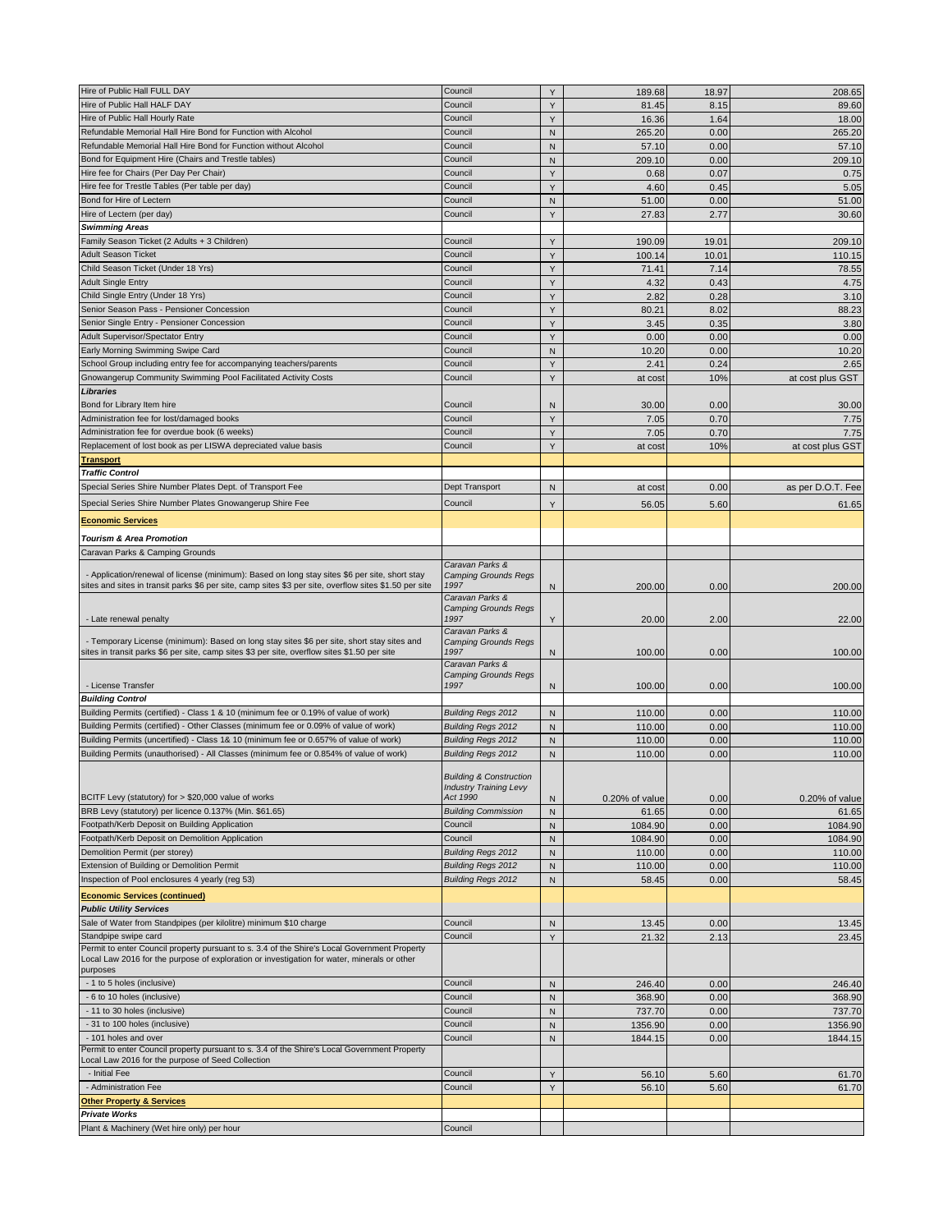| Hire of Public Hall FULL DAY                                                                           | Council                                        | Y            | 189.68         | 18.97 | 208.65            |
|--------------------------------------------------------------------------------------------------------|------------------------------------------------|--------------|----------------|-------|-------------------|
| Hire of Public Hall HALF DAY                                                                           | Council                                        | Y            | 81.45          | 8.15  | 89.60             |
| Hire of Public Hall Hourly Rate                                                                        | Council                                        | Y            | 16.36          | 1.64  | 18.00             |
| Refundable Memorial Hall Hire Bond for Function with Alcohol                                           | Council                                        | N            | 265.20         | 0.00  | 265.20            |
| Refundable Memorial Hall Hire Bond for Function without Alcohol                                        | Council                                        | ${\sf N}$    | 57.10          | 0.00  | 57.10             |
| Bond for Equipment Hire (Chairs and Trestle tables)                                                    | Council                                        | N            | 209.10         | 0.00  | 209.10            |
| Hire fee for Chairs (Per Day Per Chair)                                                                | Council                                        | Y            | 0.68           | 0.07  | 0.75              |
| Hire fee for Trestle Tables (Per table per day)                                                        | Council                                        | Y            | 4.60           | 0.45  | 5.05              |
|                                                                                                        |                                                |              |                |       |                   |
| Bond for Hire of Lectern                                                                               | Council                                        | N            | 51.00          | 0.00  | 51.00             |
| Hire of Lectern (per day)                                                                              | Council                                        | Y            | 27.83          | 2.77  | 30.60             |
| <b>Swimming Areas</b>                                                                                  |                                                |              |                |       |                   |
| Family Season Ticket (2 Adults + 3 Children)                                                           | Council                                        | Y            | 190.09         | 19.01 | 209.10            |
| <b>Adult Season Ticket</b>                                                                             | Council                                        | Υ            | 100.14         | 10.01 | 110.15            |
| Child Season Ticket (Under 18 Yrs)                                                                     | Council                                        | Y            | 71.41          | 7.14  | 78.55             |
| <b>Adult Single Entry</b>                                                                              | Council                                        | Y            | 4.32           | 0.43  | 4.75              |
| Child Single Entry (Under 18 Yrs)                                                                      | Council                                        | Y            | 2.82           | 0.28  | 3.10              |
| Senior Season Pass - Pensioner Concession                                                              | Council                                        | Y            | 80.21          | 8.02  | 88.23             |
| Senior Single Entry - Pensioner Concession                                                             | Council                                        | Y            | 3.45           | 0.35  | 3.80              |
| Adult Supervisor/Spectator Entry                                                                       | Council                                        | Y            | 0.00           | 0.00  | 0.00              |
| Early Morning Swimming Swipe Card                                                                      | Council                                        | N            | 10.20          | 0.00  | 10.20             |
| School Group including entry fee for accompanying teachers/parents                                     | Council                                        | Y            | 2.41           | 0.24  | 2.65              |
| Gnowangerup Community Swimming Pool Facilitated Activity Costs                                         | Council                                        | Y            | at cost        | 10%   | at cost plus GST  |
|                                                                                                        |                                                |              |                |       |                   |
| Libraries<br>Bond for Library Item hire                                                                |                                                |              |                |       |                   |
|                                                                                                        | Council                                        | N            | 30.00          | 0.00  | 30.00             |
| Administration fee for lost/damaged books                                                              | Council                                        | Y            | 7.05           | 0.70  | 7.75              |
| Administration fee for overdue book (6 weeks)                                                          | Council                                        | Y            | 7.05           | 0.70  | 7.75              |
| Replacement of lost book as per LISWA depreciated value basis                                          | Council                                        | Y            | at cost        | 10%   | at cost plus GST  |
| <b>Transport</b>                                                                                       |                                                |              |                |       |                   |
| <b>Traffic Control</b>                                                                                 |                                                |              |                |       |                   |
| Special Series Shire Number Plates Dept. of Transport Fee                                              | Dept Transport                                 | N            | at cost        | 0.00  | as per D.O.T. Fee |
| Special Series Shire Number Plates Gnowangerup Shire Fee                                               | Council                                        | Y            | 56.05          | 5.60  | 61.65             |
|                                                                                                        |                                                |              |                |       |                   |
| <b>Economic Services</b>                                                                               |                                                |              |                |       |                   |
| <b>Tourism &amp; Area Promotion</b>                                                                    |                                                |              |                |       |                   |
| Caravan Parks & Camping Grounds                                                                        |                                                |              |                |       |                   |
|                                                                                                        | Caravan Parks &                                |              |                |       |                   |
| - Application/renewal of license (minimum): Based on long stay sites \$6 per site, short stay          | <b>Camping Grounds Regs</b>                    |              |                |       |                   |
| sites and sites in transit parks \$6 per site, camp sites \$3 per site, overflow sites \$1.50 per site | 1997                                           | N            | 200.00         | 0.00  | 200.00            |
|                                                                                                        | Caravan Parks &<br><b>Camping Grounds Regs</b> |              |                |       |                   |
| - Late renewal penalty                                                                                 | 1997                                           | Υ            | 20.00          | 2.00  | 22.00             |
|                                                                                                        | Caravan Parks &                                |              |                |       |                   |
| - Temporary License (minimum): Based on long stay sites \$6 per site, short stay sites and             | <b>Camping Grounds Regs</b>                    |              |                |       |                   |
| sites in transit parks \$6 per site, camp sites \$3 per site, overflow sites \$1.50 per site           | 1997                                           | N            | 100.00         | 0.00  | 100.00            |
|                                                                                                        | Caravan Parks &                                |              |                |       |                   |
|                                                                                                        | <b>Camping Grounds Regs</b>                    |              |                |       |                   |
| - License Transfer                                                                                     | 1997                                           | N            | 100.00         | 0.00  | 100.00            |
| <b>Building Control</b>                                                                                |                                                |              |                |       |                   |
| Building Permits (certified) - Class 1 & 10 (minimum fee or 0.19% of value of work)                    | <b>Building Regs 2012</b>                      | ${\sf N}$    | 110.00         | 0.00  | 110.00            |
| Building Permits (certified) - Other Classes (minimum fee or 0.09% of value of work)                   | <b>Building Regs 2012</b>                      | $\mathsf{N}$ | 110.00         | 0.00  | 110.00            |
| Building Permits (uncertified) - Class 1& 10 (minimum fee or 0.657% of value of work)                  | <b>Building Regs 2012</b>                      | N            | 110.00         | 0.00  | 110.00            |
| Building Permits (unauthorised) - All Classes (minimum fee or 0.854% of value of work)                 | <b>Building Regs 2012</b>                      | ${\sf N}$    | 110.00         | 0.00  | 110.00            |
|                                                                                                        |                                                |              |                |       |                   |
|                                                                                                        | <b>Building &amp; Construction</b>             |              |                |       |                   |
|                                                                                                        | <b>Industry Training Levy</b>                  |              |                |       |                   |
| BCITF Levy (statutory) for > \$20,000 value of works                                                   | Act 1990                                       | N            | 0.20% of value | 0.00  | 0.20% of value    |
| BRB Levy (statutory) per licence 0.137% (Min. \$61.65)                                                 | <b>Building Commission</b>                     | ${\sf N}$    | 61.65          | 0.00  | 61.65             |
| Footpath/Kerb Deposit on Building Application                                                          | Council                                        | ${\sf N}$    | 1084.90        | 0.00  | 1084.90           |
| Footpath/Kerb Deposit on Demolition Application                                                        | Council                                        | N            | 1084.90        | 0.00  | 1084.90           |
| Demolition Permit (per storey)                                                                         | <b>Building Regs 2012</b>                      | $\mathsf{N}$ | 110.00         | 0.00  | 110.00            |
| Extension of Building or Demolition Permit                                                             | <b>Building Regs 2012</b>                      | N            | 110.00         | 0.00  | 110.00            |
| Inspection of Pool enclosures 4 yearly (reg 53)                                                        | <b>Building Regs 2012</b>                      | ${\sf N}$    | 58.45          | 0.00  | 58.45             |
| <b>Economic Services (continued)</b>                                                                   |                                                |              |                |       |                   |
| <b>Public Utility Services</b>                                                                         |                                                |              |                |       |                   |
| Sale of Water from Standpipes (per kilolitre) minimum \$10 charge                                      | Council                                        | N            | 13.45          | 0.00  | 13.45             |
| Standpipe swipe card                                                                                   | Council                                        | Υ            | 21.32          | 2.13  | 23.45             |
| Permit to enter Council property pursuant to s. 3.4 of the Shire's Local Government Property           |                                                |              |                |       |                   |
| Local Law 2016 for the purpose of exploration or investigation for water, minerals or other            |                                                |              |                |       |                   |
| purposes                                                                                               |                                                |              |                |       |                   |
| - 1 to 5 holes (inclusive)                                                                             | Council                                        | ${\sf N}$    | 246.40         | 0.00  | 246.40            |
| - 6 to 10 holes (inclusive)                                                                            | Council                                        | N            | 368.90         | 0.00  | 368.90            |
| - 11 to 30 holes (inclusive)                                                                           | Council                                        | N            | 737.70         | 0.00  | 737.70            |
| - 31 to 100 holes (inclusive)                                                                          | Council                                        | ${\sf N}$    | 1356.90        | 0.00  | 1356.90           |
| - 101 holes and over                                                                                   | Council                                        | ${\sf N}$    | 1844.15        | 0.00  | 1844.15           |
| Permit to enter Council property pursuant to s. 3.4 of the Shire's Local Government Property           |                                                |              |                |       |                   |
| Local Law 2016 for the purpose of Seed Collection                                                      |                                                |              |                |       |                   |
| - Initial Fee                                                                                          | Council                                        | Υ            | 56.10          | 5.60  | 61.70             |
| - Administration Fee                                                                                   | Council                                        | Υ            | 56.10          | 5.60  | 61.70             |
| <b>Other Property &amp; Services</b>                                                                   |                                                |              |                |       |                   |
| <b>Private Works</b>                                                                                   |                                                |              |                |       |                   |
| Plant & Machinery (Wet hire only) per hour                                                             | Council                                        |              |                |       |                   |
|                                                                                                        |                                                |              |                |       |                   |